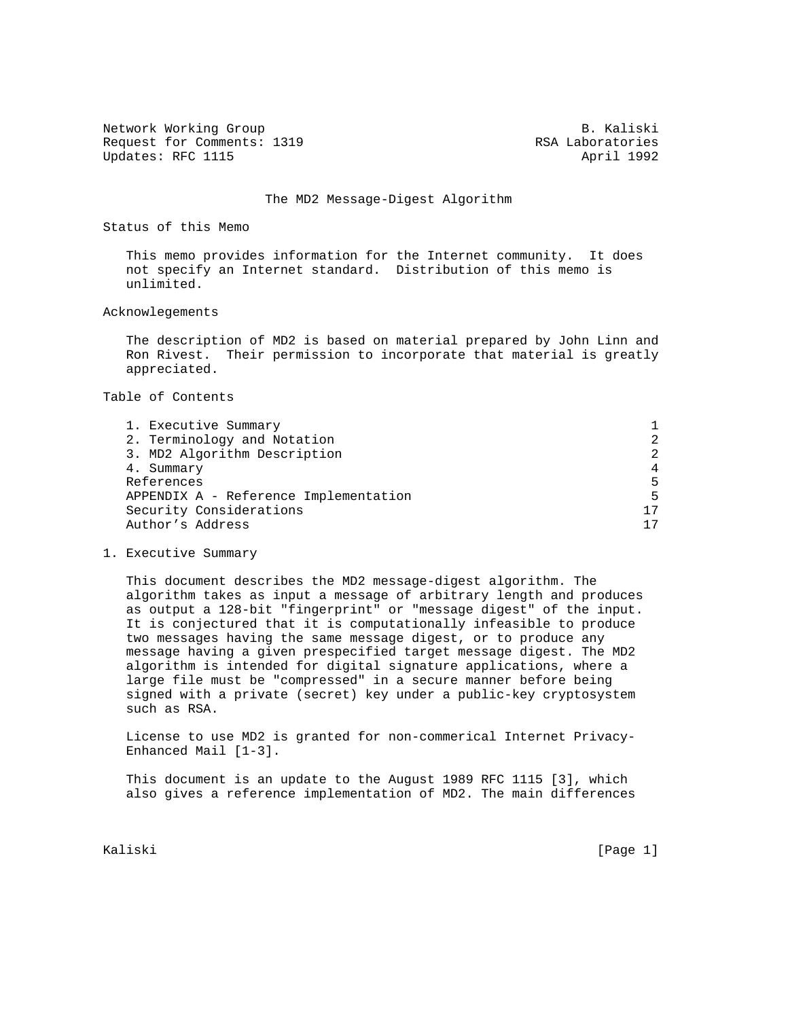Network Working Group and B. Kaliski Request for Comments: 1319 RSA Laboratories Updates: RFC 1115 April 1992

## The MD2 Message-Digest Algorithm

Status of this Memo

 This memo provides information for the Internet community. It does not specify an Internet standard. Distribution of this memo is unlimited.

Acknowlegements

 The description of MD2 is based on material prepared by John Linn and Ron Rivest. Their permission to incorporate that material is greatly appreciated.

Table of Contents

| $\mathcal{L}$ |
|---------------|
| 2             |
| 4             |
| 5             |
| 5             |
| 17            |
| 17            |
|               |

1. Executive Summary

 This document describes the MD2 message-digest algorithm. The algorithm takes as input a message of arbitrary length and produces as output a 128-bit "fingerprint" or "message digest" of the input. It is conjectured that it is computationally infeasible to produce two messages having the same message digest, or to produce any message having a given prespecified target message digest. The MD2 algorithm is intended for digital signature applications, where a large file must be "compressed" in a secure manner before being signed with a private (secret) key under a public-key cryptosystem such as RSA.

 License to use MD2 is granted for non-commerical Internet Privacy- Enhanced Mail [1-3].

 This document is an update to the August 1989 RFC 1115 [3], which also gives a reference implementation of MD2. The main differences

Kaliski [Page 1]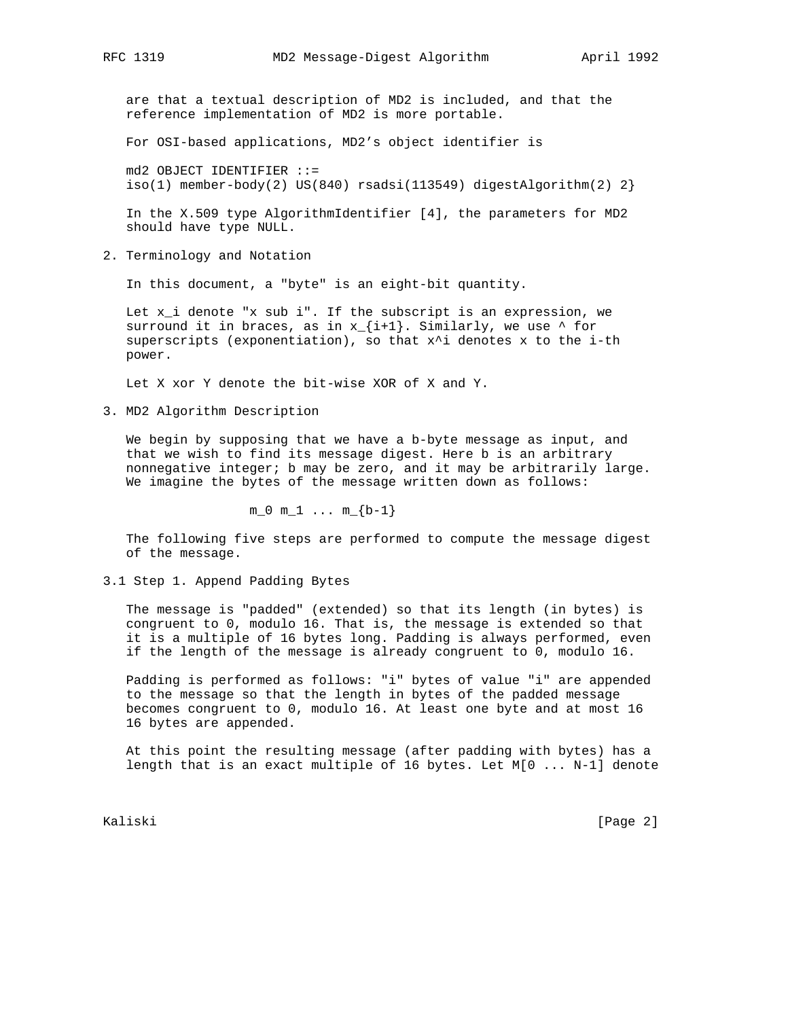are that a textual description of MD2 is included, and that the reference implementation of MD2 is more portable.

For OSI-based applications, MD2's object identifier is

 md2 OBJECT IDENTIFIER ::= iso(1) member-body(2) US(840) rsadsi(113549) digestAlgorithm(2)  $2$ }

 In the X.509 type AlgorithmIdentifier [4], the parameters for MD2 should have type NULL.

2. Terminology and Notation

In this document, a "byte" is an eight-bit quantity.

 Let x\_i denote "x sub i". If the subscript is an expression, we surround it in braces, as in  $x_{i+1}$ . Similarly, we use  $\wedge$  for superscripts (exponentiation), so that  $x^i$  denotes x to the i-th power.

Let X xor Y denote the bit-wise XOR of X and Y.

3. MD2 Algorithm Description

 We begin by supposing that we have a b-byte message as input, and that we wish to find its message digest. Here b is an arbitrary nonnegative integer; b may be zero, and it may be arbitrarily large. We imagine the bytes of the message written down as follows:

 $m_0 m_1 ... m_{b-1}$ 

 The following five steps are performed to compute the message digest of the message.

3.1 Step 1. Append Padding Bytes

 The message is "padded" (extended) so that its length (in bytes) is congruent to 0, modulo 16. That is, the message is extended so that it is a multiple of 16 bytes long. Padding is always performed, even if the length of the message is already congruent to 0, modulo 16.

 Padding is performed as follows: "i" bytes of value "i" are appended to the message so that the length in bytes of the padded message becomes congruent to 0, modulo 16. At least one byte and at most 16 16 bytes are appended.

 At this point the resulting message (after padding with bytes) has a length that is an exact multiple of 16 bytes. Let M[0 ... N-1] denote

Kaliski [Page 2]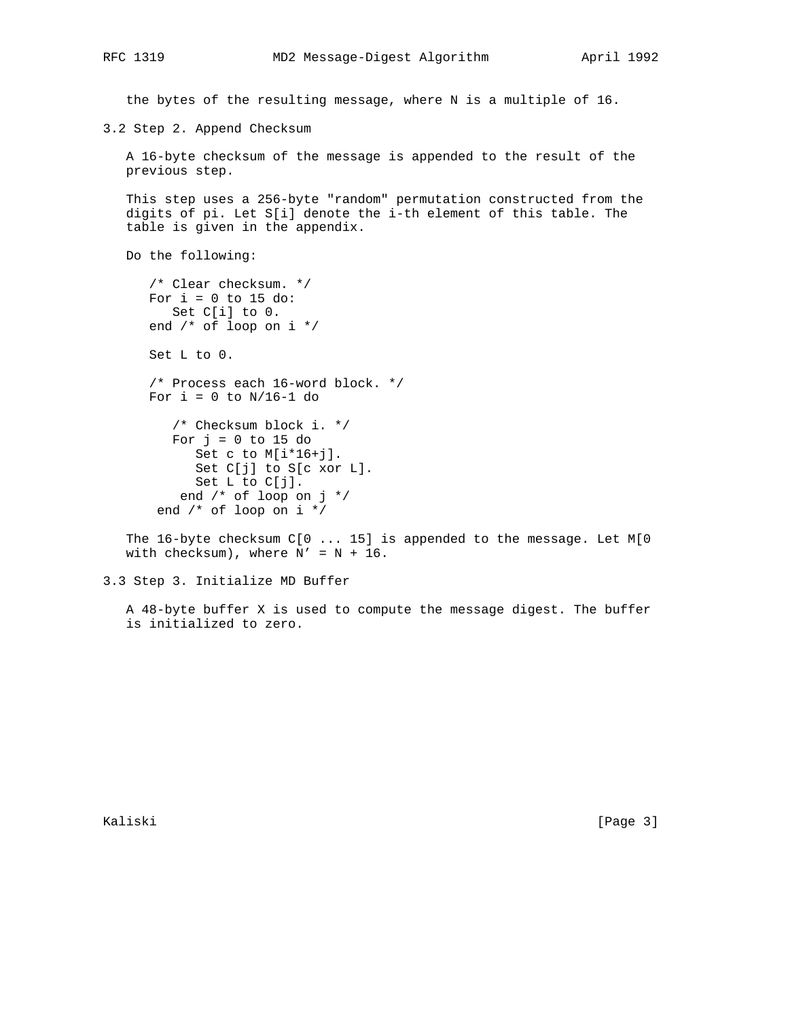the bytes of the resulting message, where N is a multiple of 16.

3.2 Step 2. Append Checksum

 A 16-byte checksum of the message is appended to the result of the previous step.

 This step uses a 256-byte "random" permutation constructed from the digits of pi. Let S[i] denote the i-th element of this table. The table is given in the appendix.

Do the following:

 /\* Clear checksum. \*/ For  $i = 0$  to 15 do: Set C[i] to 0. end /\* of loop on i \*/ Set L to 0. /\* Process each 16-word block. \*/ For  $i = 0$  to  $N/16-1$  do /\* Checksum block i. \*/ For  $j = 0$  to 15 do Set c to M[i\*16+j]. Set C[j] to S[c xor L].

Set L to C[j]. end /\* of loop on j \*/ end /\* of loop on i \*/

 The 16-byte checksum C[0 ... 15] is appended to the message. Let M[0 with checksum), where  $N' = N + 16$ .

3.3 Step 3. Initialize MD Buffer

 A 48-byte buffer X is used to compute the message digest. The buffer is initialized to zero.

Kaliski [Page 3]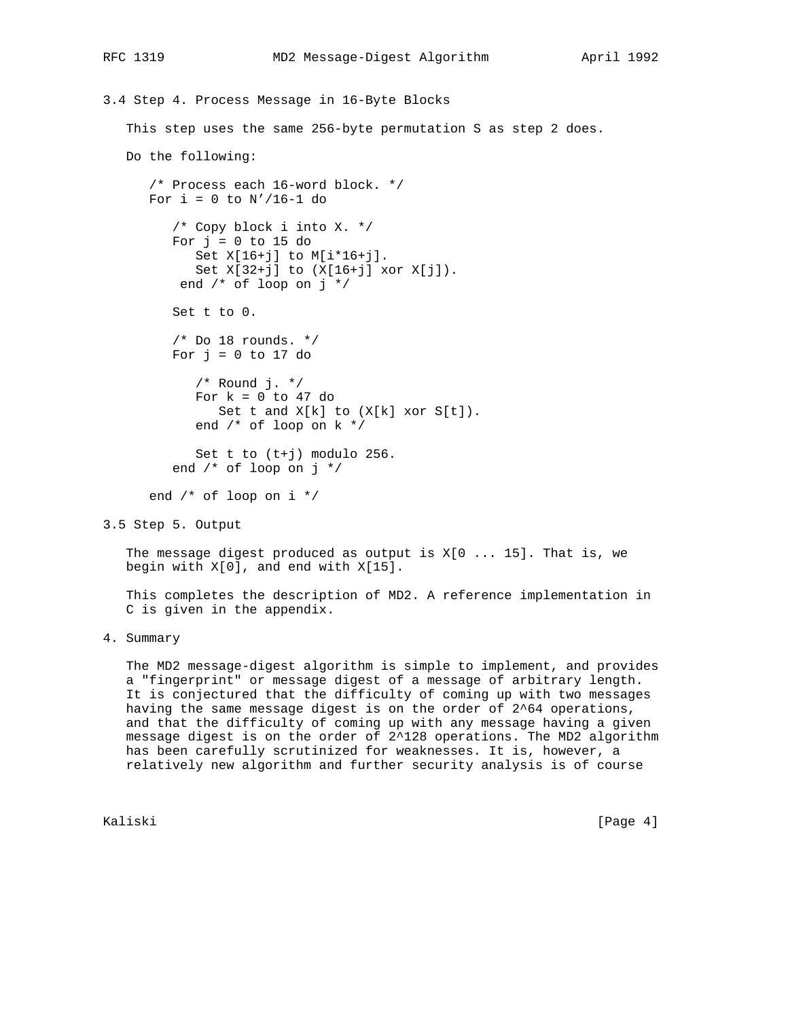```
3.4 Step 4. Process Message in 16-Byte Blocks
    This step uses the same 256-byte permutation S as step 2 does.
    Do the following:
       /* Process each 16-word block. */
      For i = 0 to N'/16-1 do
          /* Copy block i into X. */
         For j = 0 to 15 do
             Set X[16+j] to M[i*16+j].
             Set X[32+j] to (X[16+j] xor X[j]).
           end /* of loop on j */
          Set t to 0.
         /* Do 18 rounds. */For j = 0 to 17 do
             /* Round j. */
            For k = 0 to 47 do
               Set t and X[k] to (X[k] xor S[t]).
             end /* of loop on k */
             Set t to (t+j) modulo 256.
          end /* of loop on j */
       end /* of loop on i */
```
3.5 Step 5. Output

The message digest produced as output is  $X[0...15]$ . That is, we begin with X[0], and end with X[15].

 This completes the description of MD2. A reference implementation in C is given in the appendix.

4. Summary

 The MD2 message-digest algorithm is simple to implement, and provides a "fingerprint" or message digest of a message of arbitrary length. It is conjectured that the difficulty of coming up with two messages having the same message digest is on the order of 2^64 operations, and that the difficulty of coming up with any message having a given message digest is on the order of 2^128 operations. The MD2 algorithm has been carefully scrutinized for weaknesses. It is, however, a relatively new algorithm and further security analysis is of course

Kaliski [Page 4]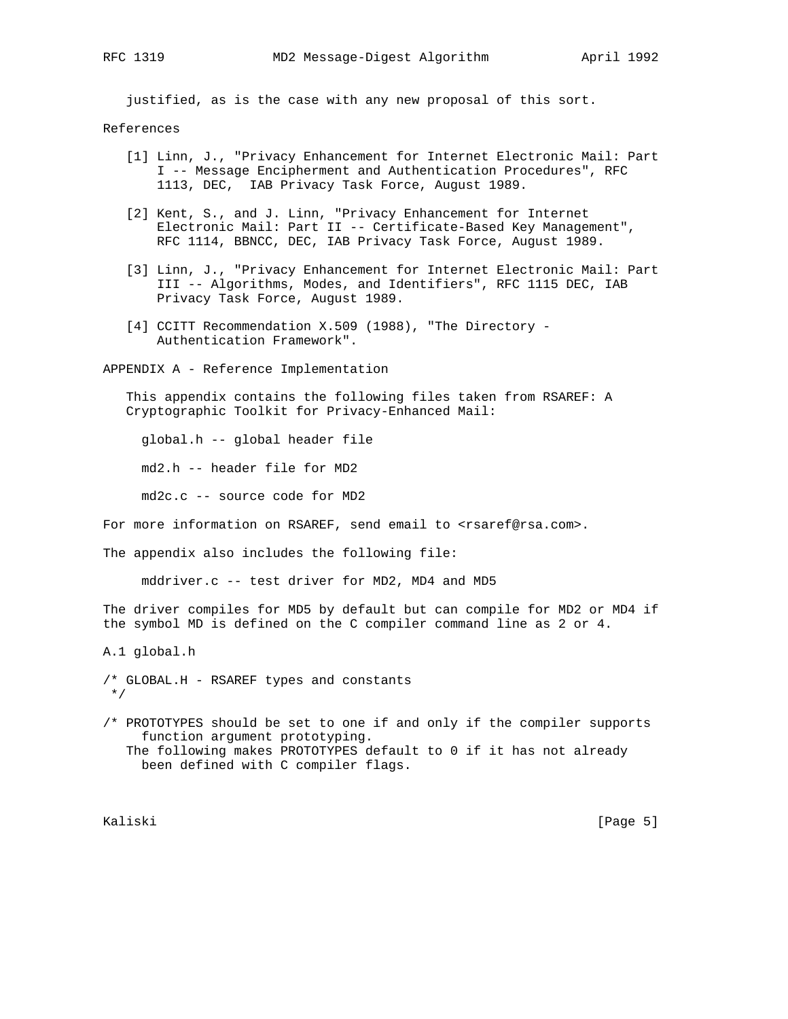justified, as is the case with any new proposal of this sort.

## References

- [1] Linn, J., "Privacy Enhancement for Internet Electronic Mail: Part I -- Message Encipherment and Authentication Procedures", RFC 1113, DEC, IAB Privacy Task Force, August 1989.
- [2] Kent, S., and J. Linn, "Privacy Enhancement for Internet Electronic Mail: Part II -- Certificate-Based Key Management", RFC 1114, BBNCC, DEC, IAB Privacy Task Force, August 1989.
- [3] Linn, J., "Privacy Enhancement for Internet Electronic Mail: Part III -- Algorithms, Modes, and Identifiers", RFC 1115 DEC, IAB Privacy Task Force, August 1989.
- [4] CCITT Recommendation X.509 (1988), "The Directory Authentication Framework".

APPENDIX A - Reference Implementation

 This appendix contains the following files taken from RSAREF: A Cryptographic Toolkit for Privacy-Enhanced Mail:

global.h -- global header file

md2.h -- header file for MD2

md2c.c -- source code for MD2

For more information on RSAREF, send email to <rsaref@rsa.com>.

The appendix also includes the following file:

mddriver.c -- test driver for MD2, MD4 and MD5

The driver compiles for MD5 by default but can compile for MD2 or MD4 if the symbol MD is defined on the C compiler command line as 2 or 4.

A.1 global.h

/\* GLOBAL.H - RSAREF types and constants \*/

/\* PROTOTYPES should be set to one if and only if the compiler supports function argument prototyping. The following makes PROTOTYPES default to 0 if it has not already been defined with C compiler flags.

Kaliski [Page 5]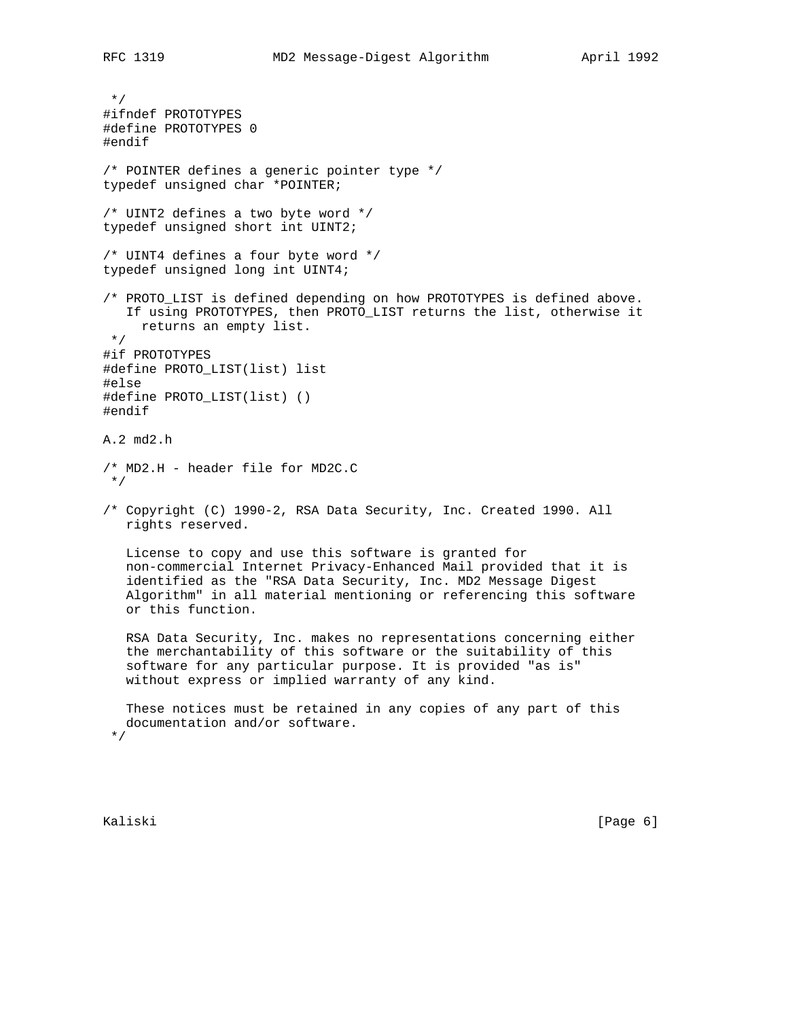\*/ #ifndef PROTOTYPES #define PROTOTYPES 0 #endif /\* POINTER defines a generic pointer type \*/ typedef unsigned char \*POINTER; /\* UINT2 defines a two byte word \*/ typedef unsigned short int UINT2; /\* UINT4 defines a four byte word \*/ typedef unsigned long int UINT4; /\* PROTO\_LIST is defined depending on how PROTOTYPES is defined above. If using PROTOTYPES, then PROTO\_LIST returns the list, otherwise it returns an empty list. \*/ #if PROTOTYPES #define PROTO\_LIST(list) list #else #define PROTO\_LIST(list) () #endif A.2 md2.h /\* MD2.H - header file for MD2C.C \*/ /\* Copyright (C) 1990-2, RSA Data Security, Inc. Created 1990. All rights reserved. License to copy and use this software is granted for non-commercial Internet Privacy-Enhanced Mail provided that it is identified as the "RSA Data Security, Inc. MD2 Message Digest Algorithm" in all material mentioning or referencing this software or this function. RSA Data Security, Inc. makes no representations concerning either the merchantability of this software or the suitability of this software for any particular purpose. It is provided "as is" without express or implied warranty of any kind. These notices must be retained in any copies of any part of this documentation and/or software. \*/

Kaliski [Page 6]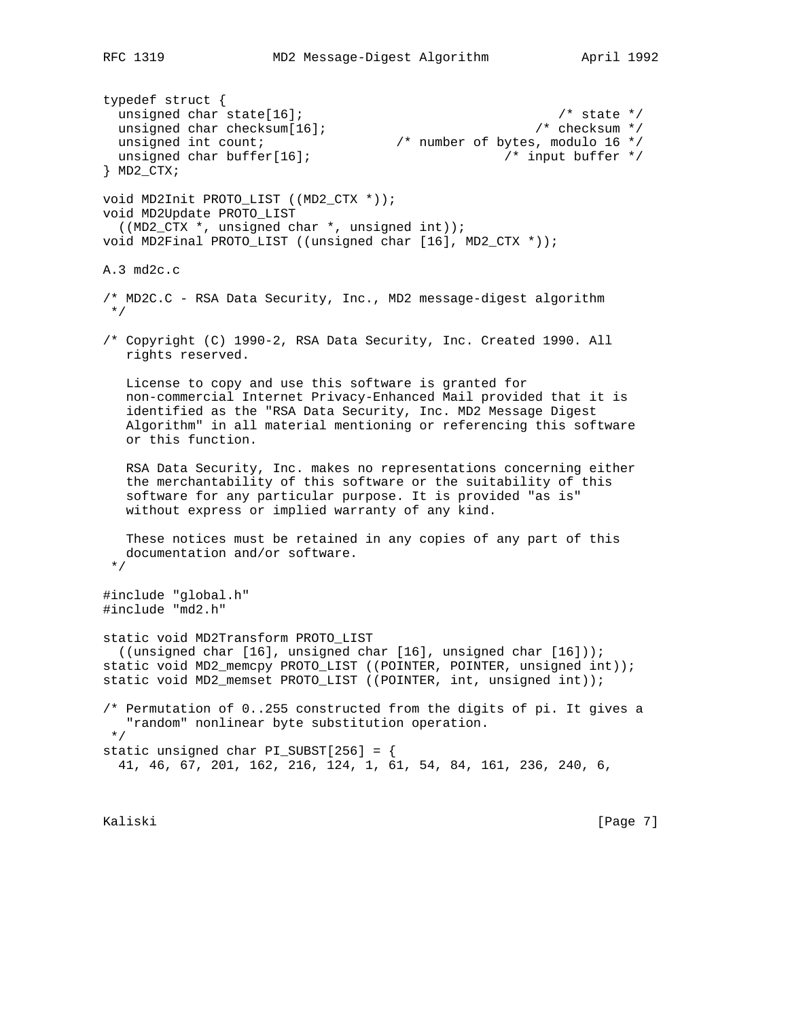typedef struct { unsigned char state[16];  $\frac{1}{2}$  /\* state \*/ unsigned char checksum[16];  $\frac{1}{2}$  /\* checksum \*/ unsigned int count;  $\frac{1}{2}$  /\* number of bytes, modulo 16 \*/ unsigned char buffer[16];  $\overline{y}$  /\* input buffer \*/ } MD2\_CTX; void MD2Init PROTO\_LIST ((MD2\_CTX \*)); void MD2Update PROTO\_LIST ((MD2\_CTX \*, unsigned char \*, unsigned int)); void MD2Final PROTO\_LIST ((unsigned char [16], MD2\_CTX \*)); A.3 md2c.c /\* MD2C.C - RSA Data Security, Inc., MD2 message-digest algorithm \*/ /\* Copyright (C) 1990-2, RSA Data Security, Inc. Created 1990. All rights reserved. License to copy and use this software is granted for non-commercial Internet Privacy-Enhanced Mail provided that it is identified as the "RSA Data Security, Inc. MD2 Message Digest Algorithm" in all material mentioning or referencing this software or this function. RSA Data Security, Inc. makes no representations concerning either the merchantability of this software or the suitability of this software for any particular purpose. It is provided "as is" without express or implied warranty of any kind. These notices must be retained in any copies of any part of this documentation and/or software. \*/ #include "global.h" #include "md2.h" static void MD2Transform PROTO\_LIST ((unsigned char [16], unsigned char [16], unsigned char [16])); static void MD2\_memcpy PROTO\_LIST ((POINTER, POINTER, unsigned int)); static void MD2\_memset PROTO\_LIST ((POINTER, int, unsigned int)); /\* Permutation of 0..255 constructed from the digits of pi. It gives a "random" nonlinear byte substitution operation. \*/ static unsigned char PI\_SUBST[256] = { 41, 46, 67, 201, 162, 216, 124, 1, 61, 54, 84, 161, 236, 240, 6,

Kaliski [Page 7]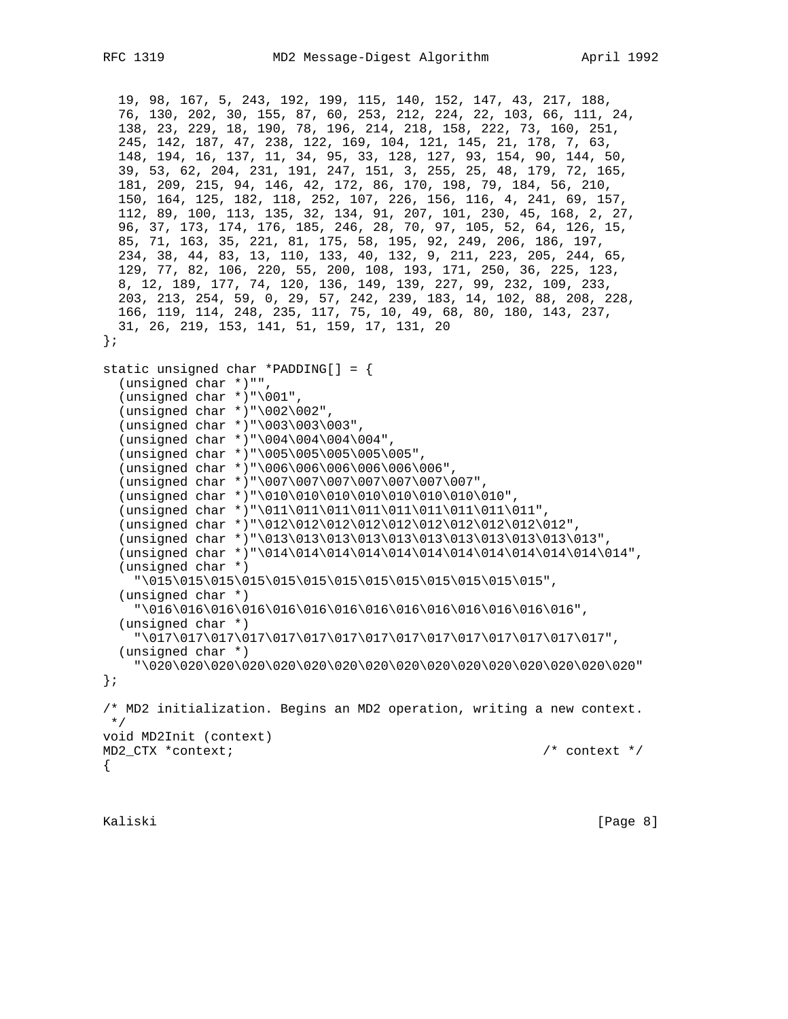```
 19, 98, 167, 5, 243, 192, 199, 115, 140, 152, 147, 43, 217, 188,
 76, 130, 202, 30, 155, 87, 60, 253, 212, 224, 22, 103, 66, 111, 24,
 138, 23, 229, 18, 190, 78, 196, 214, 218, 158, 222, 73, 160, 251,
   245, 142, 187, 47, 238, 122, 169, 104, 121, 145, 21, 178, 7, 63,
   148, 194, 16, 137, 11, 34, 95, 33, 128, 127, 93, 154, 90, 144, 50,
   39, 53, 62, 204, 231, 191, 247, 151, 3, 255, 25, 48, 179, 72, 165,
  181, 209, 215, 94, 146, 42, 172, 86, 170, 198, 79, 184, 56, 210,
   150, 164, 125, 182, 118, 252, 107, 226, 156, 116, 4, 241, 69, 157,
   112, 89, 100, 113, 135, 32, 134, 91, 207, 101, 230, 45, 168, 2, 27,
   96, 37, 173, 174, 176, 185, 246, 28, 70, 97, 105, 52, 64, 126, 15,
   85, 71, 163, 35, 221, 81, 175, 58, 195, 92, 249, 206, 186, 197,
   234, 38, 44, 83, 13, 110, 133, 40, 132, 9, 211, 223, 205, 244, 65,
   129, 77, 82, 106, 220, 55, 200, 108, 193, 171, 250, 36, 225, 123,
   8, 12, 189, 177, 74, 120, 136, 149, 139, 227, 99, 232, 109, 233,
  203, 213, 254, 59, 0, 29, 57, 242, 239, 183, 14, 102, 88, 208, 228,
   166, 119, 114, 248, 235, 117, 75, 10, 49, 68, 80, 180, 143, 237,
   31, 26, 219, 153, 141, 51, 159, 17, 131, 20
};
static unsigned char *PADDING[] = {
   (unsigned char *)"",
   (unsigned char *)"\001",
   (unsigned char *)"\002\002",
   (unsigned char *)"\003\003\003",
   (unsigned char *)"\004\004\004\004",
   (unsigned char *)"\005\005\005\005\005",
   (unsigned char *)"\006\006\006\006\006\006",
   (unsigned char *)"\007\007\007\007\007\007\007",
  (unsigned char *)"\010\010\010\010\010\010\010\010\010",
   (unsigned char *)"\011\011\011\011\011\011\011\011\011",
   (unsigned char *)"\012\012\012\012\012\012\012\012\012\012",
   (unsigned char *)"\013\013\013\013\013\013\013\013\013\013\013",
   (unsigned char *)"\014\014\014\014\014\014\014\014\014\014\014\014",
   (unsigned char *)
     "\015\015\015\015\015\015\015\015\015\015\015\015\015",
   (unsigned char *)
     "\016\016\016\016\016\016\016\016\016\016\016\016\016\016",
   (unsigned char *)
     "\017\017\017\017\017\017\017\017\017\017\017\017\017\017\017",
   (unsigned char *)
     "\020\020\020\020\020\020\020\020\020\020\020\020\020\020\020\020"
};
/* MD2 initialization. Begins an MD2 operation, writing a new context.
 */
void MD2Init (context)
MD2_CTX *context; /* context */
{
```
Kaliski [Page 8]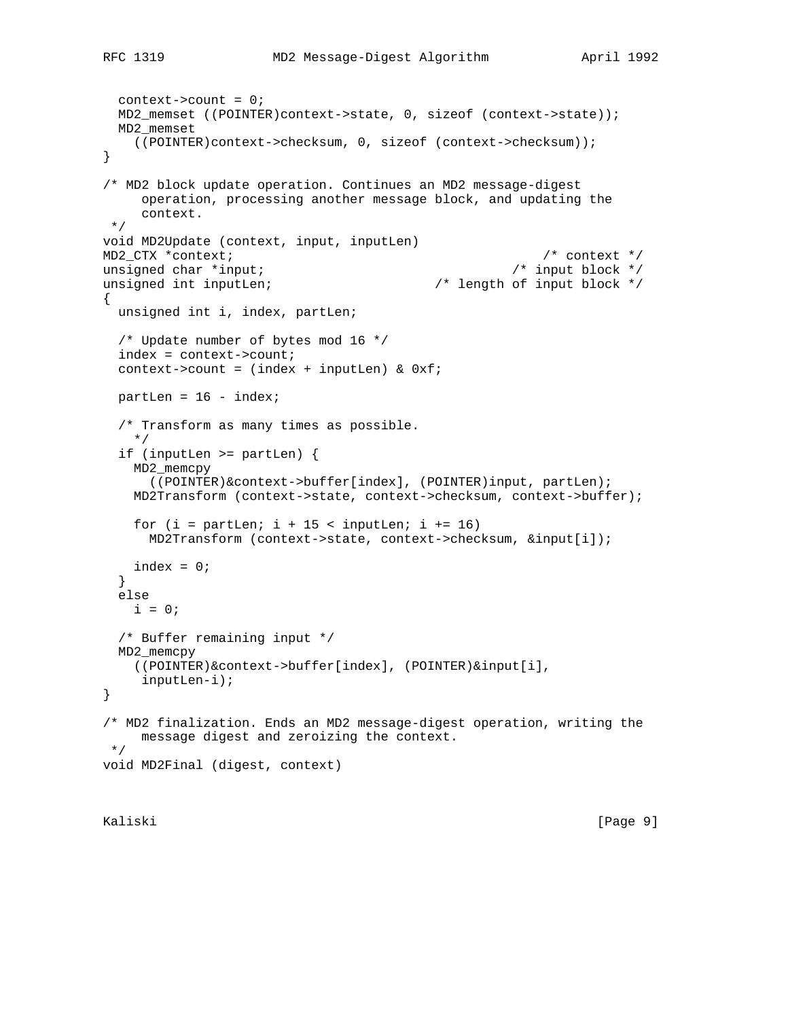```
 context->count = 0;
   MD2_memset ((POINTER)context->state, 0, sizeof (context->state));
  MD2_memset
     ((POINTER)context->checksum, 0, sizeof (context->checksum));
}
/* MD2 block update operation. Continues an MD2 message-digest
      operation, processing another message block, and updating the
      context.
  */
void MD2Update (context, input, inputLen)
MD2_CTX *context; \frac{1}{2} /* context */<br>unsigned char *input; \frac{1}{2} /* input block */
unsigned char *input;
unsigned int inputLen; \overline{\phantom{a}} /* length of input block */
{
  unsigned int i, index, partLen;
   /* Update number of bytes mod 16 */
   index = context->count;
  context->count = (index + inputLen) & 0xf;
 partLen = 16 - index; /* Transform as many times as possible.
     */
   if (inputLen >= partLen) {
     MD2_memcpy
       ((POINTER)&context->buffer[index], (POINTER)input, partLen);
     MD2Transform (context->state, context->checksum, context->buffer);
    for (i = partLen; i + 15 < inputLen; i += 16) MD2Transform (context->state, context->checksum, &input[i]);
   index = 0; }
   else
   i = 0; /* Buffer remaining input */
  MD2_memcpy
    ((POINTER)&context->buffer[index], (POINTER)&input[i],
      inputLen-i);
}
/* MD2 finalization. Ends an MD2 message-digest operation, writing the
      message digest and zeroizing the context.
  */
void MD2Final (digest, context)
```
Kaliski [Page 9]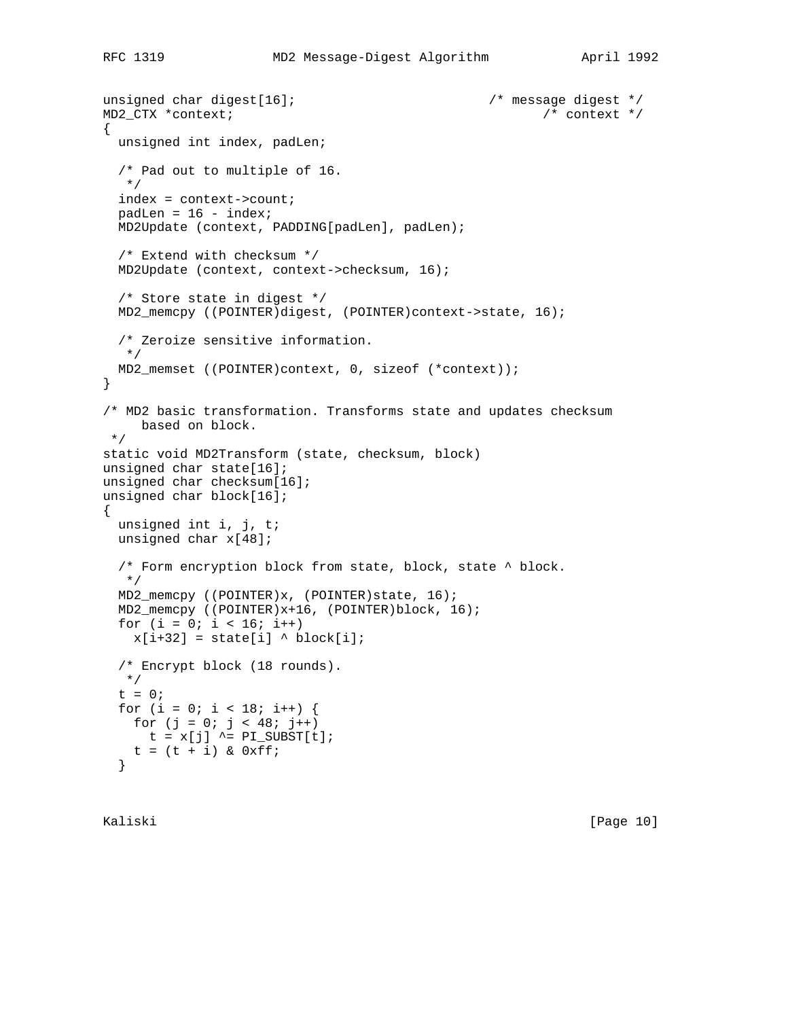```
unsigned char digest[16]; \sqrt{ } message digest */
MD2_CTX *context; /* context */
{
  unsigned int index, padLen;
   /* Pad out to multiple of 16.
   */
   index = context->count;
 padLen = 16 - index; MD2Update (context, PADDING[padLen], padLen);
   /* Extend with checksum */
  MD2Update (context, context->checksum, 16);
   /* Store state in digest */
  MD2_memcpy ((POINTER)digest, (POINTER)context->state, 16);
   /* Zeroize sensitive information.
   */
  MD2_memset ((POINTER)context, 0, sizeof (*context));
}
/* MD2 basic transformation. Transforms state and updates checksum
    based on block.
 */
static void MD2Transform (state, checksum, block)
unsigned char state[16];
unsigned char checksum[16];
unsigned char block[16];
{
  unsigned int i, j, t;
  unsigned char x[48];
   /* Form encryption block from state, block, state ^ block.
   */
  MD2_memcpy ((POINTER)x, (POINTER)state, 16);
  MD2_memcpy ((POINTER)x+16, (POINTER)block, 16);
 for (i = 0; i < 16; i++)x[i+32] = state[i] \land block[i]; /* Encrypt block (18 rounds).
   */
 t = 0;for (i = 0; i < 18; i++) {
   for (j = 0; j < 48; j++)t = x[j] ^= PI_SUBST[t];
   t = (t + i) & 0xff; }
```
Kaliski [Page 10]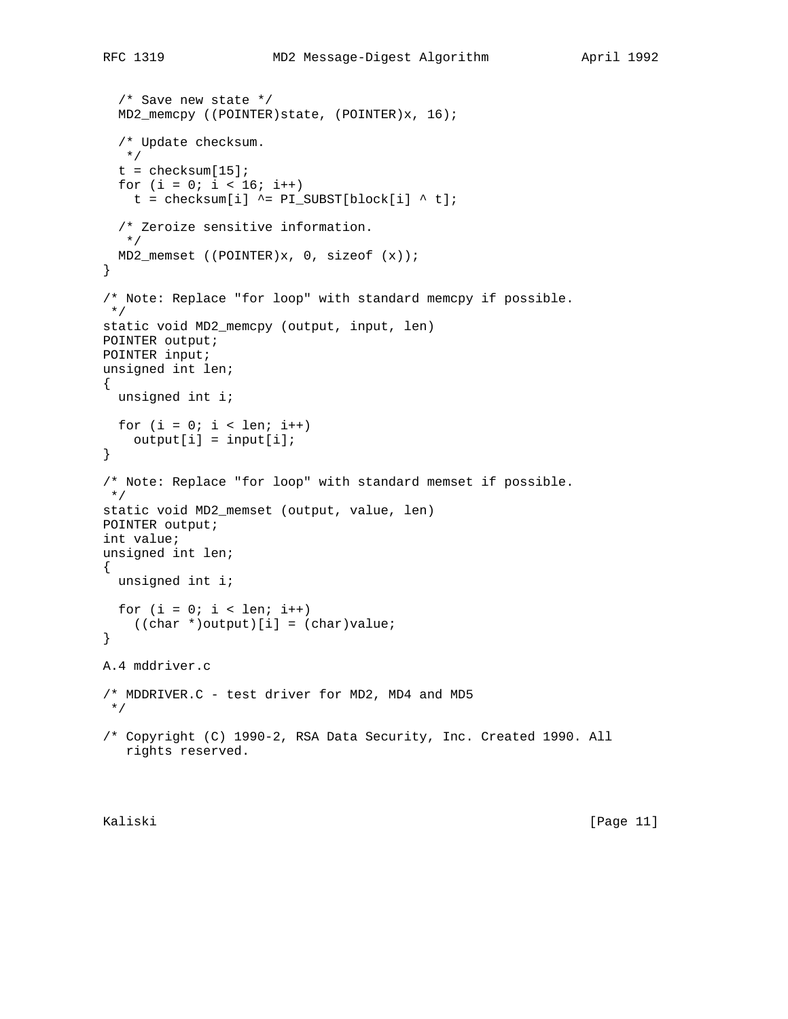```
 /* Save new state */
  MD2_memcpy ((POINTER)state, (POINTER)x, 16);
   /* Update checksum.
   */
  t = checksum[15];
  for (i = 0; i < 16; i++)t = checksum[i] ^= PI\_SUBST[block[i] ^ t];
  /* Zeroize sensitive information.
   */
  MD2_memset ((POINTER)x, 0, sizeof (x));
}
/* Note: Replace "for loop" with standard memcpy if possible.
  */
static void MD2_memcpy (output, input, len)
POINTER output;
POINTER input;
unsigned int len;
{
  unsigned int i;
 for (i = 0; i < len; i++)output[i] = input[i];}
/* Note: Replace "for loop" with standard memset if possible.
  */
static void MD2_memset (output, value, len)
POINTER output;
int value;
unsigned int len;
{
  unsigned int i;
 for (i = 0; i < len; i++)((char *)output)[i] = (char)value;}
A.4 mddriver.c
/* MDDRIVER.C - test driver for MD2, MD4 and MD5
 */
/* Copyright (C) 1990-2, RSA Data Security, Inc. Created 1990. All
   rights reserved.
```
Kaliski [Page 11]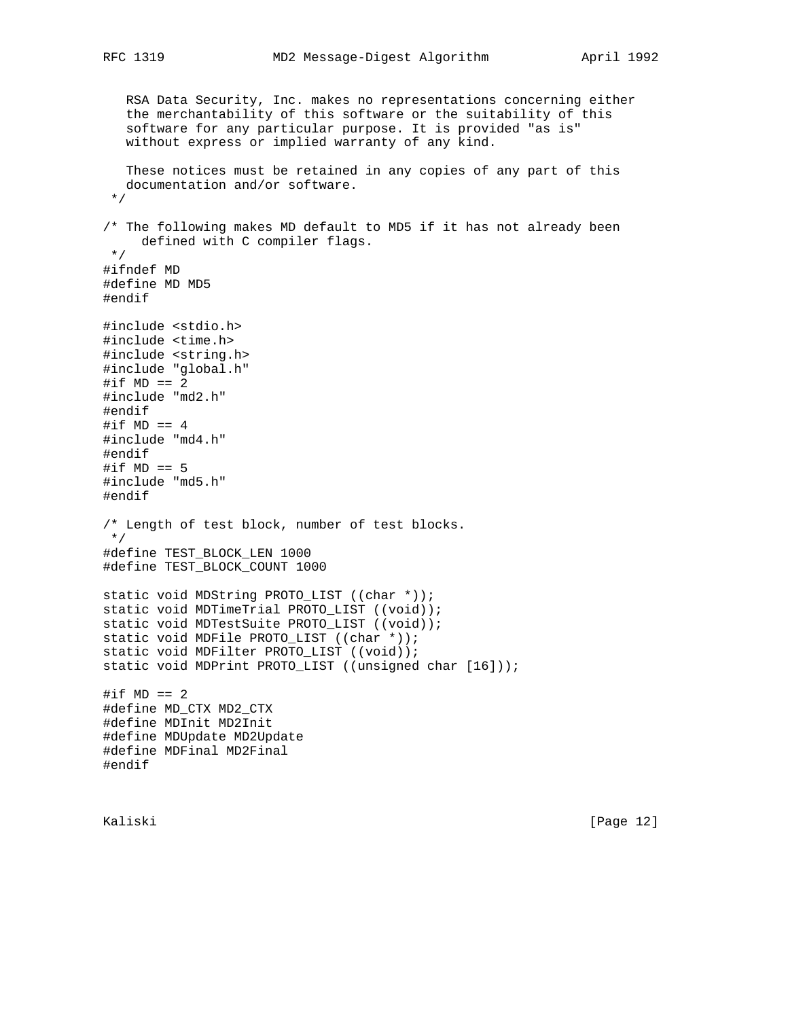RSA Data Security, Inc. makes no representations concerning either the merchantability of this software or the suitability of this software for any particular purpose. It is provided "as is" without express or implied warranty of any kind. These notices must be retained in any copies of any part of this documentation and/or software. \*/ /\* The following makes MD default to MD5 if it has not already been defined with C compiler flags. \*/ #ifndef MD #define MD MD5 #endif #include <stdio.h> #include <time.h> #include <string.h> #include "global.h"  $\# \text{if MD} == 2$ #include "md2.h" #endif #if  $MD == 4$ #include "md4.h" #endif #if  $MD == 5$ #include "md5.h" #endif /\* Length of test block, number of test blocks. \*/ #define TEST\_BLOCK\_LEN 1000 #define TEST\_BLOCK\_COUNT 1000 static void MDString PROTO\_LIST ((char \*)); static void MDTimeTrial PROTO\_LIST ((void)); static void MDTestSuite PROTO\_LIST ((void)); static void MDFile PROTO\_LIST ((char \*)); static void MDFilter PROTO\_LIST ((void)); static void MDPrint PROTO\_LIST ((unsigned char [16]));  $\# \text{if MD} == 2$ #define MD\_CTX MD2\_CTX #define MDInit MD2Init #define MDUpdate MD2Update #define MDFinal MD2Final #endif

Kaliski [Page 12]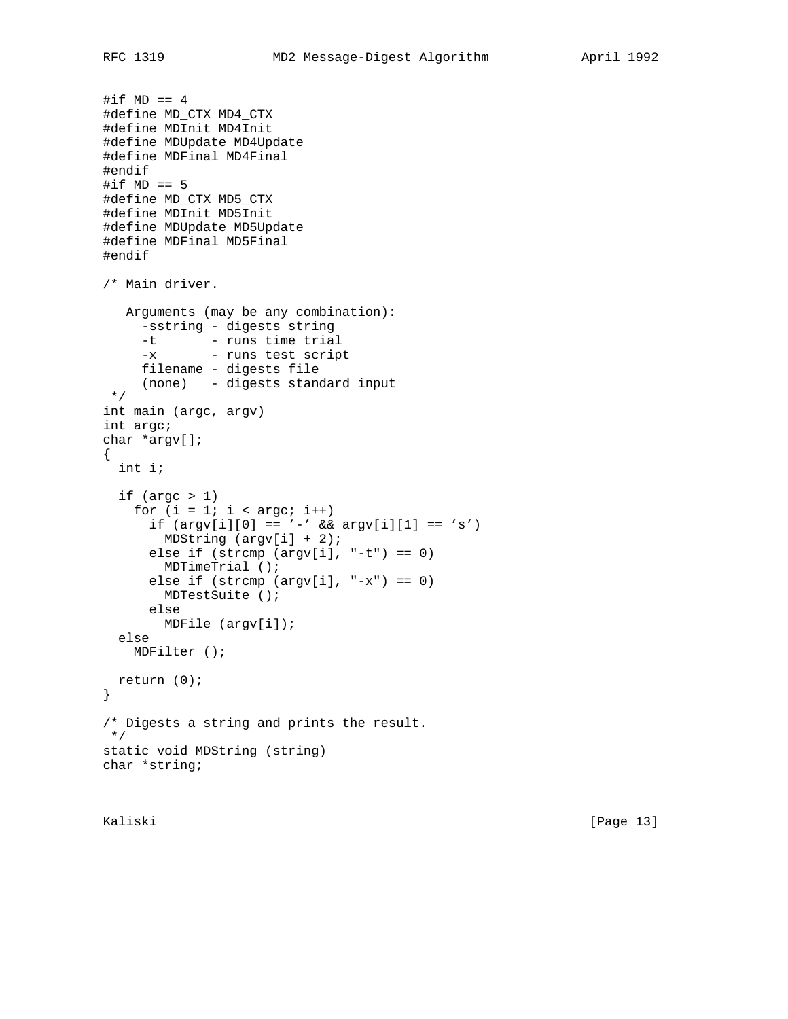```
#if MD == 4#define MD_CTX MD4_CTX
#define MDInit MD4Init
#define MDUpdate MD4Update
#define MDFinal MD4Final
#endif
#if MD == 5#define MD_CTX MD5_CTX
#define MDInit MD5Init
#define MDUpdate MD5Update
#define MDFinal MD5Final
#endif
/* Main driver.
   Arguments (may be any combination):
     -sstring - digests string
     -t - runs time trial
     -x - runs test script
     filename - digests file
     (none) - digests standard input
  */
int main (argc, argv)
int argc;
char *argv[];
{
  int i;
  if (\text{argc} > 1)for (i = 1; i < argc; i++)if (\arg v[i][0] == '-' && \arg v[i][1] == 's')MDString (\text{argv}[i] + 2);
      else if (strcmp (argv[i], " -t") == 0) MDTimeTrial ();
       else if (strcmp (argv[i], "-x") == 0)
         MDTestSuite ();
       else
         MDFile (argv[i]);
  else
    MDFilter ();
  return (0);
}
/* Digests a string and prints the result.
 */
static void MDString (string)
char *string;
```
Kaliski [Page 13]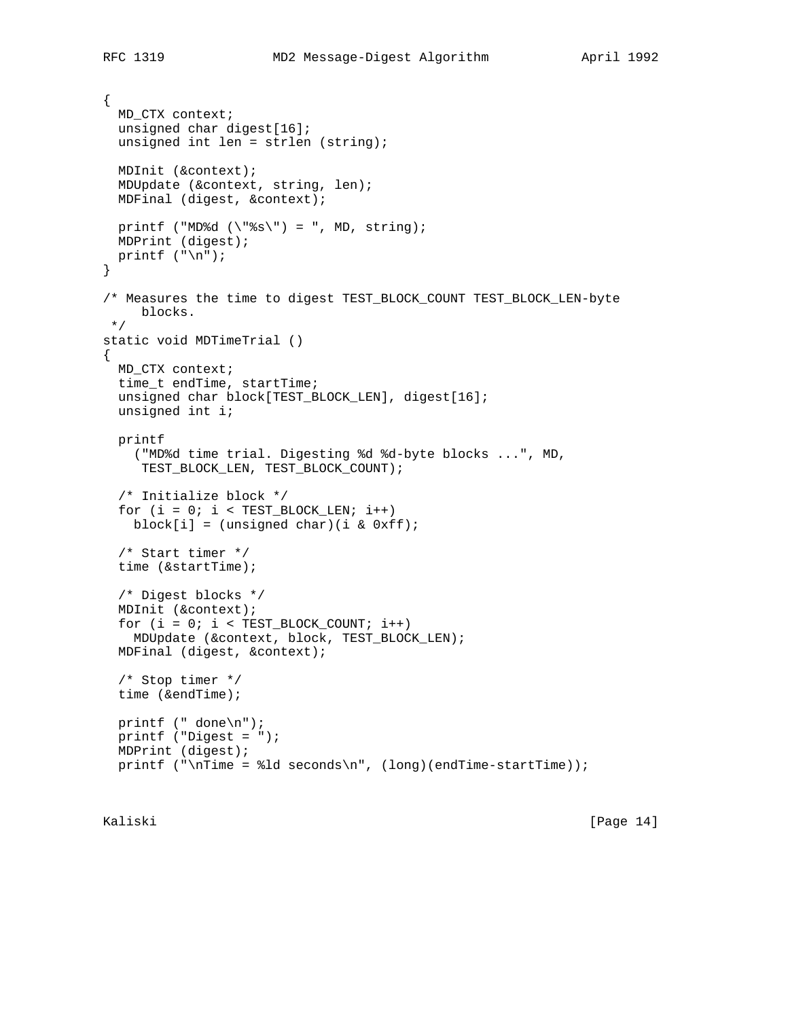```
{
  MD_CTX context;
  unsigned char digest[16];
   unsigned int len = strlen (string);
  MDInit (&context);
  MDUpdate (&context, string, len);
  MDFinal (digest, &context);
 printf ("MD%d (\n\sqrt{\frac{2s}{\n}}) = ", MD, string);
  MDPrint (digest);
 printf (\sqrt[n]{n});
}
/* Measures the time to digest TEST_BLOCK_COUNT TEST_BLOCK_LEN-byte
     blocks.
 */
static void MDTimeTrial ()
{
  MD_CTX context;
  time_t endTime, startTime;
  unsigned char block[TEST_BLOCK_LEN], digest[16];
  unsigned int i;
  printf
     ("MD%d time trial. Digesting %d %d-byte blocks ...", MD,
      TEST_BLOCK_LEN, TEST_BLOCK_COUNT);
   /* Initialize block */
  for (i = 0; i < \text{TEST\_Block\_LEN}; i++)block[i] = (unsigned char)(i & 0xff);
   /* Start timer */
   time (&startTime);
   /* Digest blocks */
  MDInit (&context);
  for (i = 0; i < \text{TEST\_Block\_COUNT}; i++) MDUpdate (&context, block, TEST_BLOCK_LEN);
  MDFinal (digest, &context);
   /* Stop timer */
   time (&endTime);
  printf (" done\n");
  printf ("Digest = ");
  MDPrint (digest);
 printf ("\nTime = dd seconds\n", (long)(endTime-startTime));
```
Kaliski [Page 14]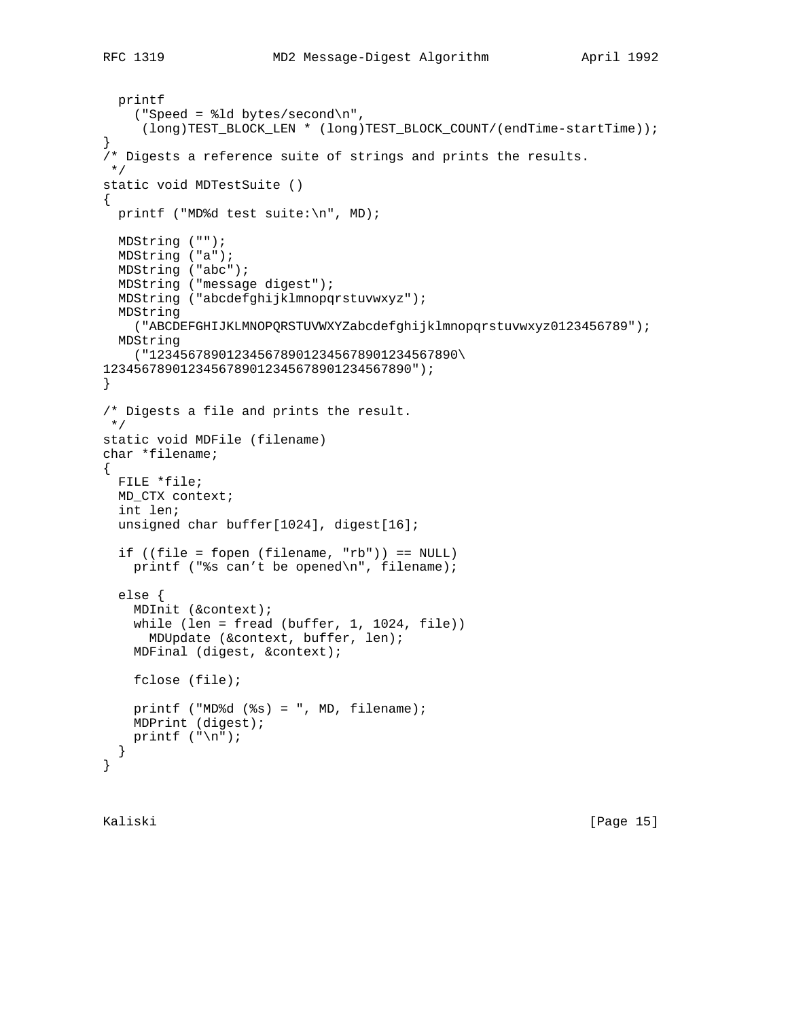```
 printf
     ("Speed = %ld bytes/second\n",
      (long)TEST_BLOCK_LEN * (long)TEST_BLOCK_COUNT/(endTime-startTime));
}
/* Digests a reference suite of strings and prints the results.
 */
static void MDTestSuite ()
{
  printf ("MD%d test suite:\n", MD);
  MDString ("");
  MDString ("a");
  MDString ("abc");
  MDString ("message digest");
  MDString ("abcdefghijklmnopqrstuvwxyz");
  MDString
    ("ABCDEFGHIJKLMNOPQRSTUVWXYZabcdefghijklmnopqrstuvwxyz0123456789");
  MDString
    ("1234567890123456789012345678901234567890\
1234567890123456789012345678901234567890");
}
/* Digests a file and prints the result.
 */
static void MDFile (filename)
char *filename;
{
  FILE *file;
  MD_CTX context;
  int len;
  unsigned char buffer[1024], digest[16];
   if ((file = fopen (filename, "rb")) == NULL)
    printf ("%s can't be opened\n", filename);
   else {
    MDInit (&context);
     while (len = fread (buffer, 1, 1024, file))
      MDUpdate (&context, buffer, len);
    MDFinal (digest, &context);
    fclose (file);
   printf ("MD%d (\$s) = ", MD, filename);
    MDPrint (digest);
   printf (\sqrt[n]{n});
   }
}
```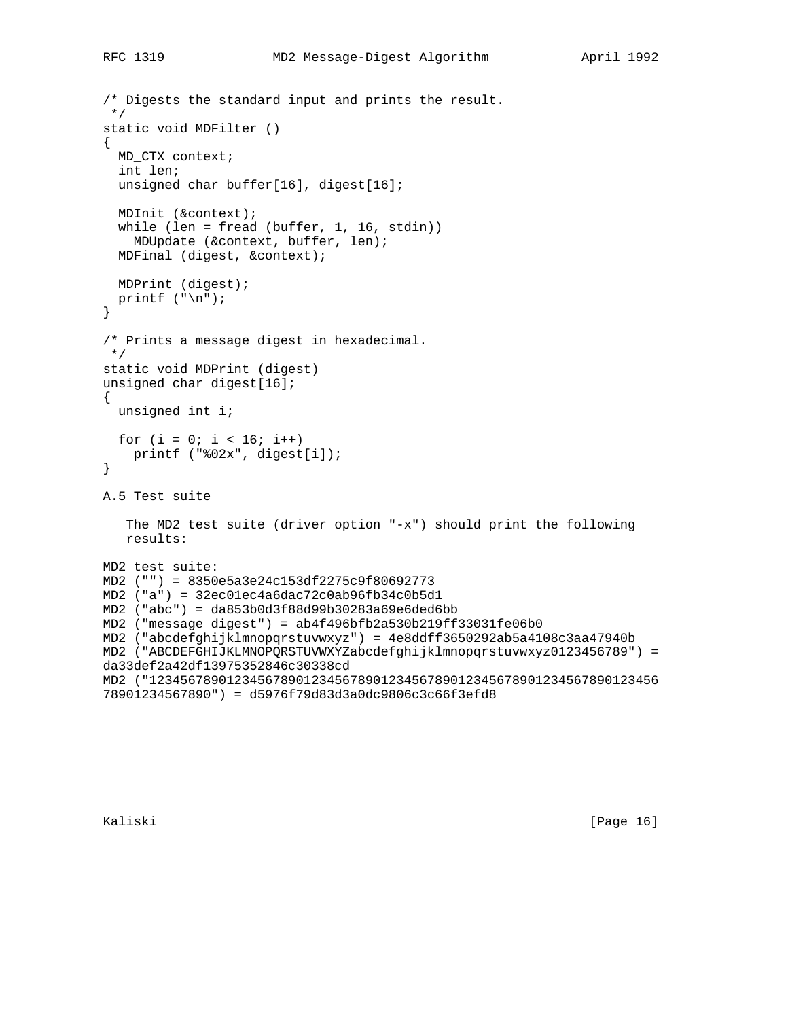```
/* Digests the standard input and prints the result.
 */
static void MDFilter ()
{
  MD_CTX context;
  int len;
  unsigned char buffer[16], digest[16];
  MDInit (&context);
  while (len = fread (buffer, 1, 16, stdin))
     MDUpdate (&context, buffer, len);
  MDFinal (digest, &context);
  MDPrint (digest);
 printf (\sqrt[n]{n});
}
/* Prints a message digest in hexadecimal.
 */
static void MDPrint (digest)
unsigned char digest[16];
{
  unsigned int i;
 for (i = 0; i < 16; i++) printf ("%02x", digest[i]);
}
A.5 Test suite
    The MD2 test suite (driver option "-x") should print the following
   results:
MD2 test suite:
MD2 ("") = 8350e5a3e24c153df2275c9f80692773
MD2 ("a") = 32ec01ec4a6dac72c0ab96fb34c0b5d1
MD2 ("abc") = da853b0d3f88d99b30283a69e6ded6bb
MD2 ("message digest") = ab4f496bfb2a530b219ff33031fe06b0
MD2 ("abcdefghijklmnopqrstuvwxyz") = 4e8ddff3650292ab5a4108c3aa47940b
MD2 ("ABCDEFGHIJKLMNOPQRSTUVWXYZabcdefghijklmnopqrstuvwxyz0123456789") =
da33def2a42df13975352846c30338cd
MD2 ("123456789012345678901234567890123456789012345678901234567890123456
78901234567890") = d5976f79d83d3a0dc9806c3c66f3efd8
```
Kaliski [Page 16]